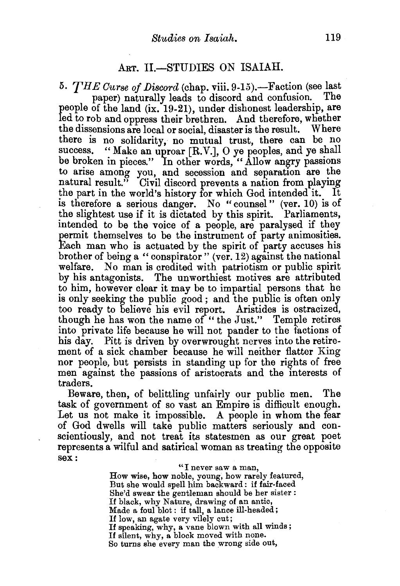## ART. II.-STUDIES ON ISAIAH.

5. *THE Curse of Discord* (chap. viii. 9-15).-Faction (see last paper) naturally leads to discord and confusion. people of the land (ix. 19-21), under dishonest leadership, are led to rob and oppress their brethren. And therefore, whether the dissensions are local or social, disaster is the result. Where there is no solidarity, no mutual trust, there can be no success. "Make an uproar [R.V.],  $\overline{O}$  ye peoples, and ye shall be broken in pieces." In other words, "Allow angry passions to arise among you, and secession and separation are the natural result." Civil discord prevents a nation from playing the part in the world's history for which God intended it. It is therefore a serious danger. No "counsel" (ver. 10) is of the slightest use if it is dictated by this spirit. Parliaments, intended to be the voice of a people, are paralysed if they permit themselves to be the instrument of party animosities. Each man who is actuated by the spirit of party accuses his brother of being a "conspirator" (ver. 12) against the national welfare. No man is credited with patriotism or public spirit by his antagonists. The unworthiest motives are attributed to him, however clear it may be to impartial persons that he is only seeking the public good; and the public is often only too ready to believe his evil report. Aristides is ostracized, though he has won the name of "the Just." Temple retires into private life because he will not pander to the factions of his day. Pitt is driven by overwrought nerves into the retirement of a sick chamber because he will neither flatter King nor people, but persists in standing up for the rights of free men against the passions of aristocrats and the interests of traders.

Beware, then, of belittling unfairly our public men. The task of government of so vast an Empire is difficult enough. Let us not make it impossible. A people in whom the fear of God dwells will take public matters seriously and conscientiously, and not treat its statesmen as our great poet represents a wilful and satirical woman as treating the opposite sex:

> "I never saw a man, How wise, how noble, young, how rarely featured, But she would spell him backward : if fair-faced She'd swear the gentleman should be her sister : If black, why Nature, drawing of an antic, Made a foul blot: if tall, a lance ill-headed; If low, an agate very vilely cut;<br>If speaking, why, a vane blown with all winds; If silent, why, a block moved with none. So turns she every man the wrong side out,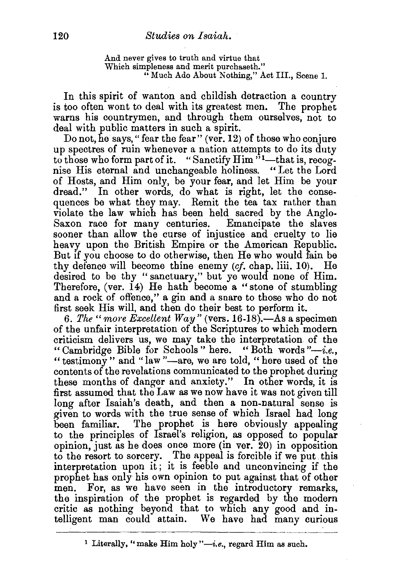And never gives to truth and virtue that Which simpleness and merit purchaseth." "Much Ado About Nothing," Act III., Scene 1.

In this spirit of wanton and childish detraction a country is too often wont to deal with its greatest men. The prophet warns his countrymen, and through them ourselves, not to deal with public matters in such a spirit.

Do not, he says, "fear the fear" (ver. 12) of those who conjure up spectres of ruin whenever a nation attempts to do its duty to those who form part of it. "Sanctify  $\lim$ <sup>51</sup>—that is, recognise His eternal and unchangeable holiness. " Let the Lord of Hosts, and Him only, be your fear, and let Him be your dread." In other words, do what is right, let the consequences be what they may. Remit the tea tax rather than violate the law which has been held sacred by the Anglo-Saxon race for many centuries. Emancipate the slaves sooner than allow the curse of injustice and cruelty to lie heavy upon the British Empire or the American Republic. But if you choose to do otherwise, then He who would fain be thy defence will become thine enemy *(cj.* chap. liii. 10). He desired to be thy "sanctuary," but ye would none of Him. Therefore, (ver.  $14$ ) He hath become a "stone of stumbling and a rock of offence," a gin and a snare to those who do not first seek His will, and then do their best to perform it.

6. The "more Excellent Way" (vers. 16-18).—As a specimen of the unfair interpretation of the Scriptures to which modern criticism delivers us, we may take the interpretation of the "Cambridge Bible for Schools" here. "Both words *"-i.e.,*  "testimony" and "law"-are, we are told, "here used of the contents of the revelations communicated to the prophet during these months of danger and anxiety." In other words, it is first assumed that the Law as we now have it was not given till long after Isaiah's death, and then a non-natural sense is given to words with the true sense of which Israel had long been familiar. The prophet is here obviously appealing to the principles of Israel's religion, as opposed to popular opinion, just as he does once more (in ver. 20) in opposition to the resort to sorcery. The appeal is forcible if we put. this interpretation upon it; it is feeble and unconvincing if the prophet has only his own opinion to put against that of other men. For, as we have seen in the introductory remarks, the inspiration of the prophet is regarded by the modern critic as nothing beyond that to which any good and intelligent man could attain. We have had many curious

<sup>&</sup>lt;sup>1</sup> Literally, "make Him holy "-*i.e.*, regard Him as such.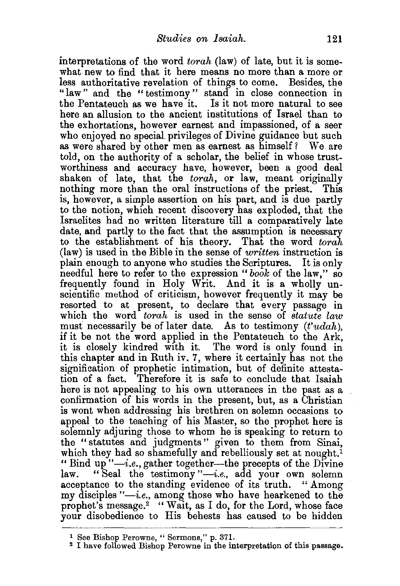interpretations of the word *torah* (law) of late, but it is somewhat new to find that it here means no more than a more or less authoritative revelation of things to come. Besides, the "law" and the " testimony " stand in close connection in the Pentateuch as we have it. Is it not more natural to see here an allusion to the ancient institutions of Israel than to the exhortations, however earnest and impassioned, of a seer who enjoyed no special privileges of Divine guidance but such as were shared by other men as earnest as himself? We are told, on the authority of a scholar, the belief in whose trustworthiness and accuracy have, however, been a good deal shaken of late, that the *torah*, or law, meant originally nothing more than the oral instructions of the priest. This is, however, a simple assertion on his part, and is due partly to the notion, which recent discovery has exploded, that the Israelites had no written literature till a comparatively late date, and partly to the fact that the assumption is necessary to the establishment of his theory. That the word *torah*  (law) is used in the Bible in the sense of *written* instruction is plain enough to anyone who studies the Scriptures. It is only needful here to refer to the expression *"book* of the law," so frequently found in Holy Writ. And it is a wholly unscientific method of criticism, however frequently it may be resorted to at present, to declare that every passage in which the word *torah* is used in the sense of *statute law*  must necessarily be of later date. As to testimony *(t'udah),*  if it be not the word applied in the Pentateuch to the Ark, it is closely kindred with it. The word is only found in this chapter and in Ruth iv. 7, where it certainly has not the signification of prophetic intimation, but of definite attestation of a fact. Therefore it is safe to conclude that Isaiah here is not appealing to his own utterances in the past as a confirmation of his words in the present, but, as a Christian is wont when addressing his brethren on solemn occasions to appeal to the teaching of his Master, so the prophet here is solemnly adjuring those to whom he is speaking to return to the "statutes and judgments" given to them from Sinai, which they had so shamefully and rebelliously set at nought.<sup>1</sup> "Bind up"-i.e., gather together-the precepts of the Divine law. "Seal the testimony"-i.e., add your own solemn acceptance to the standing evidence of its truth. "Among my disciples *"-i.e.,* among those who have hearkened to the prophet's message.<sup>2</sup> "Wait, as I do, for the Lord, whose face your disobedience to His behests has caused to be hidden

<sup>1</sup> See Bishop Perowne, " Sermons," p. 371.

<sup>2</sup> I have followed Bishop Perowne in the interpretation of this passage.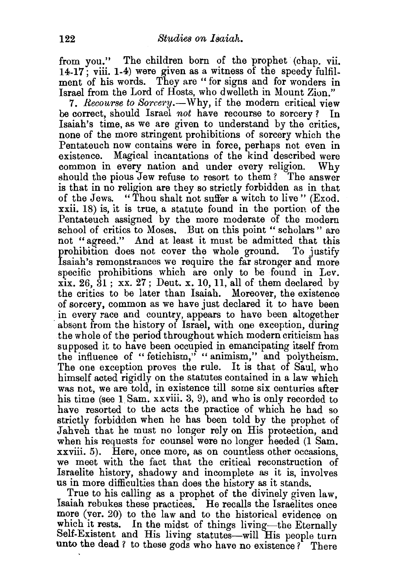from you." The children born of the prophet (chap. vii. 14-17; viii. 1-4) were given as a witness of the speedy fulfilment of his words. They are "for signs and for wonders in Israel from the Lord of Hosts, who dwelleth in Mount Zion."

7. *Recourse to Sorcery.*—Why, if the modern critical view be correct, should Israel *not* have recourse to sorcery? In Isaiah's time, as we are given to understand by the critics, none of the more stringent prohibitions of sorcery which the Pentateuch now contains were in force, perhaps not even in existence. Magical incantations of the kind described were common in every nation and under every religion. Why should the pious Jew refuse to resort to them? The answer is that in no religion are they so strictly forbidden as in that of the Jews. "Thou shalt not sufter a witch to live" (Exod. xxii. 18) is, it is true, a statute found in the portion of the Pentateuch assigned by the more moderate of the modern school of critics to Moses. But on this point " scholars " are not "agreed." And at least it must be admitted that this prohibition does not cover the whole ground. To justify Isaiah's remonstrances we require the far stronger and more specific prohibitions which are only to be found in Lev.  $xix. 26. 31$ ;  $xx. 27$ ; Deut. x. 10, 11, all of them declared by the critics to be later than Isaiah. Moreover, the existence of sorcery, common as we have just declared it to have been . in every race and country, appears to have been altogether absent from the history of Israel, with one exception, during the whole of the period throughout which modern criticism has supposed it to have been occupied in emancipating itself from the influence of "fetichism," "animism," and polytheism. The one exception proves the rule. It is that of Saul, who himself acted rigidly on the statutes contained in a law which was not, we are told, in existence till some six centuries after his time (see 1 Sam. xxviii. 3, 9), and who is only recorded to have resorted to the acts the practice of which he had so strictly forbidden when he has been told by the prophet of Jahveh that he must no longer rely on His protection, and when his requests for counsel were no longer heeded (1 Sam. xxviii. 5). Here, once more, as on countless other occasions, we meet with the fact that the critical reconstruction of Israelite history, shadowy and incomplete as it is, involves us in more difficulties than does the history as it stands.

True to his calling as a prophet of the divinely given law, Isaiah rebukes these practices. He recalls the Israelites once more (ver. 20) to the law and to the historical evidence on which it rests. In the midst of things living—the Eternally Self-Existent and His living statutes-will His people turn unto the dead ? to these gods who have no existence ? There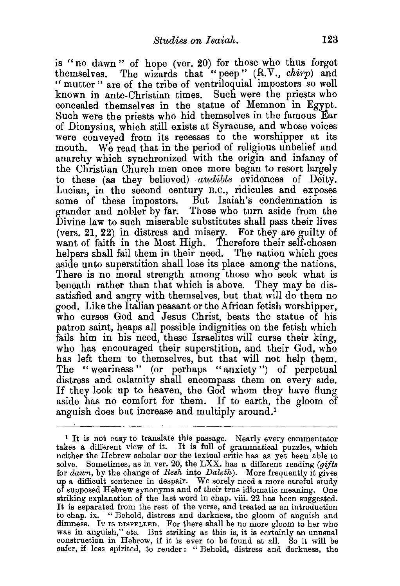is "no dawn " of hope (ver. 20) for those who thus forget themselves. The wizards that "peep" (R.V., *chirp*) and " mutter" are of the tribe of ventriloquial impostors so well known in ante-Christian times. Such were the priests who concealed themselves in the statue of Memnon in Egypt. Such were the priests who hid themselves in the famous Ear of Dionysius, which still exists at Syracuse, and whose voices were conveyed from its recesses to the worshipper at its mouth. We read that in the period of religious unbelief and anarchy which synchronized with the origin and infancy of the Christian Church men once more began to resort largely to these (as they believed) *audible* evidences of Deity. Lucian, in the second century B.c., ridicules and exposes some of these impostors. But Isaiah's condemnation is grander and nobler by far. Those who turn aside from the Divine law to such miserable substitutes shall pass their lives (vers. 21, 22) in distress and misery. For they are guilty of want of faith in the Most High. Therefore their self-chosen helpers shall fail them in their need. The nation which goes aside unto superstition shall lose its place among the nations. There is no moral strength among those who seek what is beneath rather than that which is above. They may be dissatisfied and angry with themselves, but that will do them no good. Like the Italian peasant or the African fetish worshipper, who curses God and Jesus Christ, beats the statue of his patron saint, heaps all possible indignities on the fetish which fails him in his need, these Israelites will curse their king, who has encouraged their superstition, and their God, who has left them to themselves, but that will not help them. The "weariness" (or perhaps "anxiety") of perpetual distress and calamity shall encompass them on every side. If they look up to heaven, the God whom they have flung aside has no comfort for them. If to earth, the gloom of anguish does but increase and multiply around.1

<sup>&</sup>lt;sup>1</sup> It is not easy to translate this passage. Nearly every commentator takes a different view of it. It is full of grammatical puzzles, which neither the Hebrew scholar nor the textual critic has as yet been able to solve. Sometimes, as inver. 20, the LXX. has a different reading *(gijta*  for *dawn,* by the change of *Reah* into *Daleth).* More frequently it gives up a difficult sentence in despair. We sorely need a more careful study of supposed Hebrew synonyms and of their true idiomatic meaning. One striking explanation of the last word in chap. viii. 22 has been suggested. It is separated from the rest of the verse, and treated as an introduction to chap. ix. " Behold, distress and darkness, the gloom of anguish and dimness. IT IS DISPELLED. For there shall be no more gloom to her who was in anguish," etc. But striking as this is, it is certainly an unusual construction in Hebrew, if it is ever to be found at all. So it will be safer, if less spirited, to render: "Behold, distress and darkness, the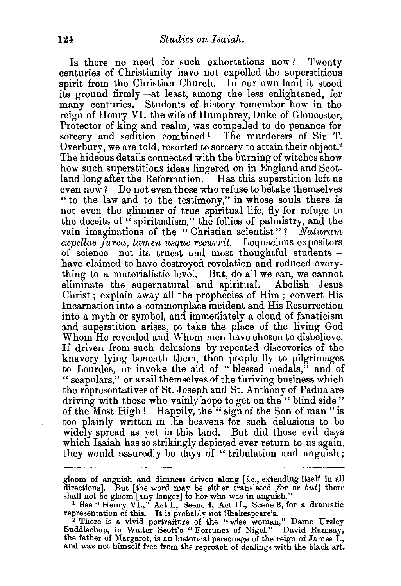Is there no need for such exhortations now ? Twenty centuries of Christianity have not expelled the superstitious spirit from the Christian Church. In our own land it stood its ground firmly-at least, among the less enlightened, for many centuries. Students of history remember how in the reign of Henry *VI.* the wife of Humphrey, Duke of Gloucester, Protector of king and realm, was compelled to do penance for sorcery and sedition combined.<sup>1</sup> The murderers of Sir T. Overbury, we are told, resorted to sorcery to attain their object.2 The hideous details connected with the burning of witches show how such superstitious ideas lingered on in England and Scotland long after the Reformation. Has this superstition left us even now? Do not even those who refuse to betake themselves "to the law and to the testimony," in whose souls there is not even the glimmer of true spiritual life, fly for refuge to the deceits of "spiritualism," the follies of palmistry, and the vain imaginations of the "Christian scientist"? *Naturam expellas furca, tamen usque rectwrit.* Loquacious expositors of science-not its truest and most thoughtful studentshave claimed to have destroyed revelation and reduced everything to a materialistic level. But, do all we can, we cannot eliminate the supernatural and spiritual. Abolish Jesus Christ; explain away all the prophecies of Him; convert His Incarnation into a commonplace incident and His Resurrection into a myth or symbol, and immediately a cloud of fanaticism and superstition arises, to take the place of the living God Whom He revealed and Whom men have chosen to disbelieve. If driven from such delusions by repeated discoveries of the knavery lying beneath them, then people fly to pilgrimages to Lourdes, or invoke the aid of "blessed medals," and of "scapulars," or avail themselves of the thriving business which the representatives of St. Joseph and St. Anthony of Padua are driving with those who vainly hope to get on the " blind side " of the Most High! Happily, the " sign of the Son of man " is too plainly written in the heavens for such delusions to be widely spread as yet in this land. But did those evil days which Isaiah has so strikingly depicted ever return to us again, they would assuredly be days of "tribulation and anguish;

gloom of anguish and dimness driven along *[i.e.,* extending itself in all directions]. But [the word may be either translated *for* or *but]* there

. -~-------~--------~~-

shall not be gloom [any longer] to her who was in anguish." 1 See "Henry VI.," Act I., Scene 4, Act II., Scene 3, for a dramatic representation of this. It is probably not Shakespeare's. 2 There is a vivid portraiture of the "wise woman," Dame Ursley

Suddlechop, in Walter Scott's "Fortunes of Nigel." David Ramsay, ·the father of Margaret, is an historical personage of the reign of James I., and was not himself free from the reproach of dealings with the black art.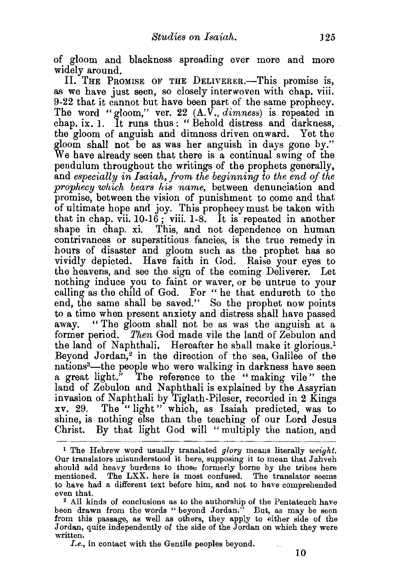of gloom and blackness spreading ever more and more widely around.

II. THE PROMISE OF THE DELIVERER.-This promise is, as we have just seen, so closely interwoven with chap. viii. 9-22 that it cannot but have been part of the same prophecy. The word "gloom," ver. 22 (A. *V., dimness)* is repeated in chap. ix. I. It runs thus : " Behold distress and darkness, . the gloom of anguish and dimness driven onward. Yet the gloom shall not be as was her anguish in days gone by." We have already seen that there is a continual swing of the pendulum throughout the writings of the prophets generally, and *especially in Isaiah, from the beginning to the end of the prophecy which bears his name,* between denunciation and promise, between the vision of punishment to come and that of ultimate hope and joy. This prophecy must be taken with that in chap. vii.  $10-16$ ; viii.  $1-8$ . It is repeated in another shape in chap. xi. This, and not dependence on human contrivances or superstitious fancies, is the true remedy in hours of disaster and gloom such as the prophet has so vividly depicted. Have faith in God. Raise your eyes to the heavens, and see the sign of the coming Deliverer. Let nothing induce you to faint or waver, or be untrue to your calling as the child of God. For "he that endureth to the end, the same shall be saved." So the prophet now points to a time when present anxiety and distress shall have passed away. " The gloom shall not be as was the anguish at a former period. *Then* God made vile the land of Zebulon and the land of Naphthali. Hereafter he shall make it glorious.<sup>1</sup> Beyond Jordan,<sup>2</sup> in the direction of the sea, Galilee of the nations3 -the people who were walking in darkness have seen a great light." The reference to the " making vile " the land of Zebulon and Naphthali is explained by the Assyrian invasion of Naphthali by Tiglath-Pileser, recorded in 2 Kings xv. 29. The " light" which, as Isaiah predicted, was to shine, is nothing else than the teaching of our Lord Jesus Christ. By that light God will "multiply the nation, and

<sup>1</sup> The Hebrew word usually translated *glory* meaus literally *weight.*  Our translators misunderstood it here, supposing it to mean that Jahveh should add heavy burdens to those formerly borne by the tribes here mentioned. The LXX. here is most confused. The translator seems to have had a different text before him, and not to have comprehended

even that.<br><sup>2</sup> All kinds of conclusions as to the authorship of the Pentateuch have<br>been drawn from the words "beyond Jordan." But, as may be seen from this passage, as well as others, they apply to either side of the Jordan, quite independently of the side of the Jordan on which they were written.

*I.e.,* in contact with the Gentile peoples beyond.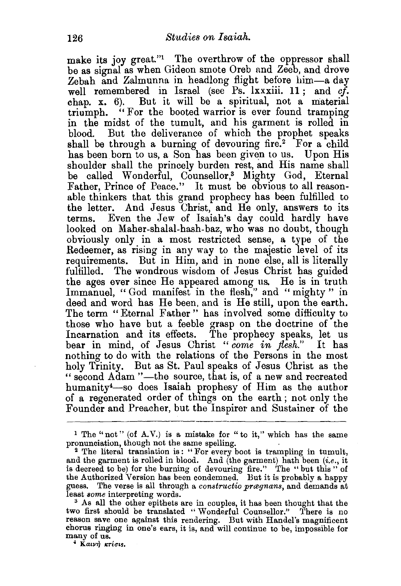make its joy great."<sup>1</sup> The overthrow of the oppressor shall be as signal as when Gideon smote Oreb nnd Zeeb, and drove Zebah and Zalmunna in headlong flight before him-a day well remembered in Israel (see Ps. Ixxxiii. 11; and *cf.* chap. x. 6). But it will be a spiritual, not a material triumph. " For the booted warrior is ever found tramping in the midst of the tumult, and his garment is rolled in blood. But the deliverance of which the prophet speaks shall be through a burning of devouring fire.<sup>2</sup> For a child has been born to us, a Son has been given to us. Upon His shoulder shall the princely burden rest, and His name shall be called Wonderful, Counsellor,<sup>3</sup> Mighty God, Eternal Father, Prince of Peace." It must be obvious to all reasonable thinkers that this grand prophecy has been fulfilled to the letter. And Jesus Christ, and He only, answers to its terms. Even the Jew of Isaiah's day could hardly have looked on Maher-shalal-hash-baz, who was no doubt, though obviously only in a most restricted sense, a type of the Redeemer, as rising in any way to the majestic level of its requirements. But in Him, and in none else, all is literally fulfilled. The wondrous wisdom of Jesus Christ has guided the ages ever since He appeared among us. He is in truth Immanuel, "God manifest in the flesh," and "mighty" in deed and word has He been, and is He still, upon the earth. The term "Eternal Father " has involved some difficulty to those who have but a feeble grasp on the doctrine of the Incarnation and its effects. The prophecy speaks, let us bear in mind, of Jesus Christ *"come in flesh."* It has nothing to do with the relations of the Persons in the most holy Trinity. But as St. Paul speaks of Jesus Christ as the " second Adam "-the source, that is, of a new and recreated humanity4-so does Isaiah prophesy of Him as the author of a regenerated order of things on the earth ; not only the Founder and Preacher, but the Inspirer and Sustainer of the

<sup>1</sup> The "not" (of A.V.) is a mistake for "to it," which has the same pronunciation, though not the same spelling.

<sup>2</sup> The literal translation is: "For every boot is trampling in tumult, and the garment is rolled in blood. And (the garment) hath been  $(i.e.,$  it is decreed to be) for the burning of devouring fire." The "but this" of the Authorized Version has been condemned. But it is probably a happy guess. The verse is all through a *constructio prægnans*, and demands at least *some* interpreting words.

<sup>3</sup> As all the other epithets are in couples, it has been thought that the two first should be translated "Wonderful Counsellor." There is no reason save one against this rendering. But with Handel's magnificent chorus ringing in one's ears, it is, and will continue to be, impossible for many of us.

 $*$  Kaινή κτίσις.